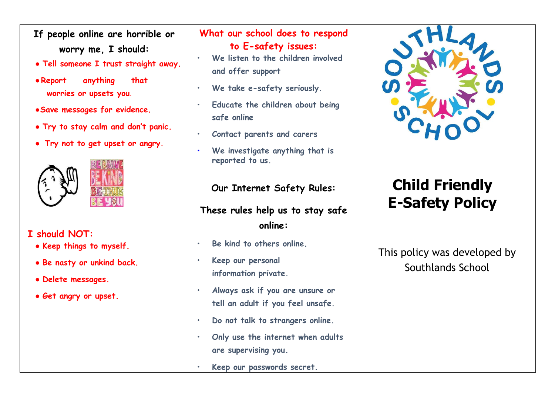- **If people online are horrible or worry me, I should:**
- **Tell someone I trust straight away.**
- ●**Report anything that worries or upsets you**.
- ●**Save messages for evidence.**
- **Try to stay calm and don't panic.**
- **Try not to get upset or angry.**



## **I should NOT:**

- **Keep things to myself.**
- **Be nasty or unkind back.**
- **Delete messages.**
- **Get angry or upset.**

#### **What our school does to respond to E-safety issues:**

- **We listen to the children involved and offer support**
- We take e-safety seriously.
- **Educate the children about being safe online**
- **Contact parents and carers**
- **We investigate anything that is reported to us.**

### **Our Internet Safety Rules:**

# **These rules help us to stay safe online:**

- **Be kind to others online.**
- **Keep our personal information private.**
- **Always ask if you are unsure or tell an adult if you feel unsafe.**
- **Do not talk to strangers online.**
- **Only use the internet when adults are supervising you.**
- **Keep our passwords secret.**



# **Child Friendly E-Safety Policy**

This policy was developed by Southlands School